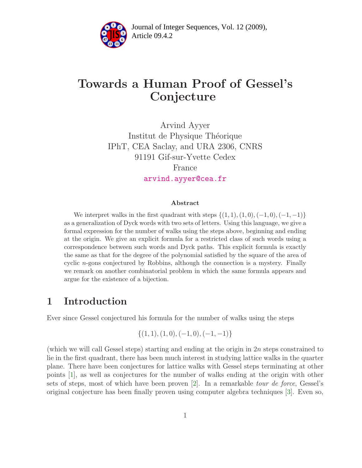

Article 09.4.2 **<sup>2</sup>** Journal of Integer Sequences, Vol. 12 (2009),

# Towards a Human Proof of Gessel's Conjecture

Arvind Ayyer Institut de Physique Théorique IPhT, CEA Saclay, and URA 2306, CNRS 91191 Gif-sur-Yvette Cedex France [arvind.ayyer@cea.fr](mailto:arvind.ayyer@cea.fr)

#### Abstract

We interpret walks in the first quadrant with steps  $\{(1, 1), (1, 0), (-1, 0), (-1, -1)\}\$ as a generalization of Dyck words with two sets of letters. Using this language, we give a formal expression for the number of walks using the steps above, beginning and ending at the origin. We give an explicit formula for a restricted class of such words using a correspondence between such words and Dyck paths. This explicit formula is exactly the same as that for the degree of the polynomial satisfied by the square of the area of cyclic  $n$ -gons conjectured by Robbins, although the connection is a mystery. Finally we remark on another combinatorial problem in which the same formula appears and argue for the existence of a bijection.

## 1 Introduction

Ever since Gessel conjectured his formula for the number of walks using the steps

$$
\{(1,1),(1,0),(-1,0),(-1,-1)\}
$$

(which we will call Gessel steps) starting and ending at the origin in  $2n$  steps constrained to lie in the first quadrant, there has been much interest in studying lattice walks in the quarter plane. There have been conjectures for lattice walks with Gessel steps terminating at other points [\[1\]](#page-13-0), as well as conjectures for the number of walks ending at the origin with other sets of steps, most of which have been proven [\[2\]](#page-13-1). In a remarkable tour de force, Gessel's original conjecture has been finally proven using computer algebra techniques [\[3\]](#page-13-2). Even so,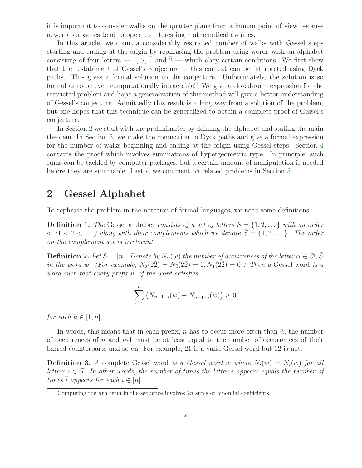it is important to consider walks on the quarter plane from a human point of view because newer approaches tend to open up interesting mathematical avenues.

In this article, we count a considerably restricted number of walks with Gessel steps starting and ending at the origin by rephrasing the problem using words with an alphabet consisting of four letters  $-1$ , 2,  $\overline{1}$  and  $\overline{2}$  — which obey certain conditions. We first show that the restatement of Gessel's conjecture in this context can be interpreted using Dyck paths. This gives a formal solution to the conjecture. Unfortunately, the solution is so formal as to be even computationally intractable!<sup>[1](#page-1-0)</sup> We give a closed-form expression for the restricted problem and hope a generalization of this method will give a better understanding of Gessel's conjecture. Admittedly this result is a long way from a solution of the problem, but one hopes that this technique can be generalized to obtain a complete proof of Gessel's conjecture.

In Section [2](#page-1-1) we start with the preliminaries by defining the alphabet and stating the main theorem. In Section [3,](#page-3-0) we make the connection to Dyck paths and give a formal expression for the number of walks beginning and ending at the origin using Gessel steps. Section [4](#page-6-0) contains the proof which involves summations of hypergeometric type. In principle, such sums can be tackled by computer packages, but a certain amount of manipulation is needed before they are summable. Lastly, we comment on related problems in Section [5.](#page-11-0)

## <span id="page-1-1"></span>2 Gessel Alphabet

To rephrase the problem in the notation of formal languages, we need some definitions.

**Definition 1.** The Gessel alphabet consists of a set of letters  $S = \{1, 2, \ldots\}$  with an order  $\{1, 2, \ldots\}$  along with their complements which we denote  $\bar{S} = \{\bar{1}, \bar{2}, \ldots\}$ . The order on the complement set is irrelevant.

<span id="page-1-2"></span>**Definition 2.** Let  $S = [n]$ . Denote by  $N_\alpha(w)$  the number of occurrences of the letter  $\alpha \in S \cup \overline{S}$ in the word w. (For example,  $N_2(2\bar{2}) = N_{\bar{2}}(2\bar{2}) = 1, N_1(2\bar{2}) = 0$ .) Then a Gessel word is a word such that every prefix w of the word satisfies

$$
\sum_{i=1}^{k} (N_{n+1-i}(w) - N_{\overline{n+1-i}}(w)) \ge 0
$$

for each  $k \in [1, n]$ .

In words, this means that in each prefix, n has to occur more often than  $\bar{n}$ , the number of occurrences of n and  $n-1$  must be at least equal to the number of occurrences of their barred counterparts and so on. For example,  $2\overline{1}$  is a valid Gessel word but  $1\overline{2}$  is not.

**Definition 3.** A complete Gessel word is a Gessel word w where  $N_i(w) = N_i(w)$  for all letters  $i \in S$ . In other words, the number of times the letter i appears equals the number of times  $\overline{i}$  appears for each  $i \in [n]$ .

<span id="page-1-0"></span><sup>&</sup>lt;sup>1</sup>Computing the *n*th term in the sequence involves  $2n$  sums of binomial coefficients.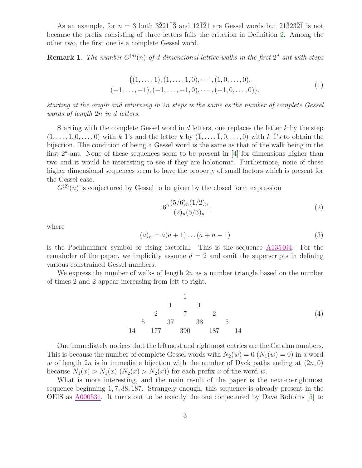As an example, for  $n = 3$  both  $3\overline{2}21\overline{1}\overline{3}$  and  $12\overline{1}\overline{2}1$  are Gessel words but  $21\overline{3}23\overline{2}1$  is not because the prefix consisting of three letters fails the criterion in Definition [2.](#page-1-2) Among the other two, the first one is a complete Gessel word.

**Remark 1.** The number  $G^{(d)}(n)$  of d dimensional lattice walks in the first  $2^d$ -ant with steps

$$
\{(1, \ldots, 1), (1, \ldots, 1, 0), \cdots, (1, 0, \ldots, 0), \n(-1, \ldots, -1), (-1, \ldots, -1, 0), \cdots, (-1, 0, \ldots, 0)\},
$$
\n
$$
(1)
$$

starting at the origin and returning in 2n steps is the same as the number of complete Gessel words of length 2n in d letters.

Starting with the complete Gessel word in  $d$  letters, one replaces the letter  $k$  by the step  $(1,\ldots,1,0,\ldots,0)$  with k 1's and the letter k by  $(\bar{1},\ldots,\bar{1},0,\ldots,0)$  with k  $\bar{1}$ 's to obtain the bijection. The condition of being a Gessel word is the same as that of the walk being in the first  $2^d$ -ant. None of these sequences seem to be present in [\[4\]](#page-13-3) for dimensions higher than two and it would be interesting to see if they are holonomic. Furthermore, none of these higher dimensional sequences seem to have the property of small factors which is present for the Gessel case.

 $G^{(2)}(n)$  is conjectured by Gessel to be given by the closed form expression

<span id="page-2-0"></span>
$$
16^n \frac{(5/6)_n (1/2)_n}{(2)_n (5/3)_n},\tag{2}
$$

where

$$
(a)_n = a(a+1)\dots(a+n-1)
$$
 (3)

is the Pochhammer symbol or rising factorial. This is the sequence [A135404.](http://www.research.att.com/cgi-bin/access.cgi/as/~njas/sequences/eisA.cgi?Anum=A135404) For the remainder of the paper, we implicitly assume  $d = 2$  and omit the superscripts in defining various constrained Gessel numbers.

We express the number of walks of length  $2n$  as a number triangle based on the number of times 2 and  $\overline{2}$  appear increasing from left to right.

1 1 1 2 7 2 5 37 38 5 14 177 390 187 14 (4)

One immediately notices that the leftmost and rightmost entries are the Catalan numbers. This is because the number of complete Gessel words with  $N_2(w) = 0$   $(N_1(w) = 0)$  in a word w of length  $2n$  is in immediate bijection with the number of Dyck paths ending at  $(2n, 0)$ because  $N_1(x) > N_{\bar{1}}(x)$   $(N_2(x) > N_{\bar{2}}(x))$  for each prefix x of the word w.

What is more interesting, and the main result of the paper is the next-to-rightmost sequence beginning 1, 7, 38, 187. Strangely enough, this sequence is already present in the OEIS as [A000531.](http://www.research.att.com/cgi-bin/access.cgi/as/~njas/sequences/eisA.cgi?Anum=A000531) It turns out to be exactly the one conjectured by Dave Robbins [\[5\]](#page-13-4) to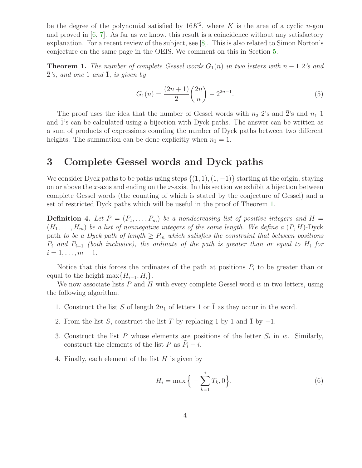be the degree of the polynomial satisfied by  $16K^2$ , where K is the area of a cyclic n-gon and proved in [\[6,](#page-13-5) [7\]](#page-13-6). As far as we know, this result is a coincidence without any satisfactory explanation. For a recent review of the subject, see [\[8\]](#page-13-7). This is also related to Simon Norton's conjecture on the same page in the OEIS. We comment on this in Section [5.](#page-11-0)

<span id="page-3-1"></span>**Theorem 1.** The number of complete Gessel words  $G_1(n)$  in two letters with  $n-1$  2's and  $\bar{2}$ 's, and one 1 and  $\bar{1}$ , is given by

<span id="page-3-2"></span>
$$
G_1(n) = \frac{(2n+1)}{2} \binom{2n}{n} - 2^{2n-1}.
$$
\n(5)

The proof uses the idea that the number of Gessel words with  $n_2$  2's and  $\overline{2}$ 's and  $n_1$  1 and 1's can be calculated using a bijection with Dyck paths. The answer can be written as a sum of products of expressions counting the number of Dyck paths between two different heights. The summation can be done explicitly when  $n_1 = 1$ .

### <span id="page-3-0"></span>3 Complete Gessel words and Dyck paths

We consider Dyck paths to be paths using steps  $\{(1, 1), (1, -1)\}\$  starting at the origin, staying on or above the x-axis and ending on the x-axis. In this section we exhibit a bijection between complete Gessel words (the counting of which is stated by the conjecture of Gessel) and a set of restricted Dyck paths which will be useful in the proof of Theorem [1.](#page-3-1)

**Definition 4.** Let  $P = (P_1, \ldots, P_m)$  be a nondecreasing list of positive integers and  $H =$  $(H_1, \ldots, H_m)$  be a list of nonnegative integers of the same length. We define a  $(P, H)$ -Dyck path to be a Dyck path of length  $\geq P_m$  which satisfies the constraint that between positions  $P_i$  and  $P_{i+1}$  (both inclusive), the ordinate of the path is greater than or equal to  $H_i$  for  $i = 1, \ldots, m - 1.$ 

Notice that this forces the ordinates of the path at positions  $P_i$  to be greater than or equal to the height max $\{H_{i-1}, H_i\}.$ 

We now associate lists  $P$  and  $H$  with every complete Gessel word  $w$  in two letters, using the following algorithm.

- 1. Construct the list S of length  $2n_1$  of letters 1 or 1 as they occur in the word.
- 2. From the list S, construct the list T by replacing 1 by 1 and  $\overline{1}$  by  $-1$ .
- 3. Construct the list  $\tilde{P}$  whose elements are positions of the letter  $S_i$  in w. Similarly, construct the elements of the list P as  $\tilde{P}_i - i$ .
- 4. Finally, each element of the list  $H$  is given by

$$
H_i = \max\left\{-\sum_{k=1}^i T_k, 0\right\}.
$$
 (6)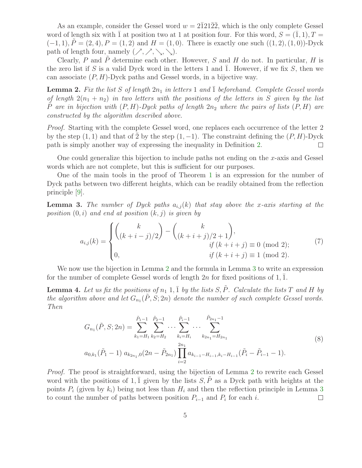As an example, consider the Gessel word  $w = 2\overline{1}21\overline{2}2$ , which is the only complete Gessel word of length six with  $\overline{1}$  at position two at 1 at position four. For this word,  $S = (1, 1), T =$  $(-1, 1), P = (2, 4), P = (1, 2)$  and  $H = (1, 0)$ . There is exactly one such  $((1, 2), (1, 0))$ -Dyck path of length four, namely  $(\nearrow, \nearrow, \searrow, \searrow).$ 

Clearly, P and  $\tilde{P}$  determine each other. However, S and H do not. In particular, H is the zero list if S is a valid Dyck word in the letters 1 and  $\overline{1}$ . However, if we fix S, then we can associate  $(P, H)$ -Dyck paths and Gessel words, in a bijective way.

<span id="page-4-0"></span>**Lemma 2.** Fix the list S of length  $2n_1$  in letters 1 and  $\overline{1}$  beforehand. Complete Gessel words of length  $2(n_1 + n_2)$  in two letters with the positions of the letters in S given by the list P are in bijection with  $(P, H)$ -Dyck paths of length  $2n_2$  where the pairs of lists  $(P, H)$  are constructed by the algorithm described above.

Proof. Starting with the complete Gessel word, one replaces each occurrence of the letter 2 by the step  $(1, 1)$  and that of  $\overline{2}$  by the step  $(1, -1)$ . The constraint defining the  $(P, H)$ -Dyck path is simply another way of expressing the inequality in Definition [2.](#page-1-2)  $\Box$ 

One could generalize this bijection to include paths not ending on the x-axis and Gessel words which are not complete, but this is sufficient for our purposes.

One of the main tools in the proof of Theorem [1](#page-3-1) is an expression for the number of Dyck paths between two different heights, which can be readily obtained from the reflection principle [\[9\]](#page-13-8).

<span id="page-4-1"></span>**Lemma 3.** The number of Dyck paths  $a_{i,j}(k)$  that stay above the x-axis starting at the position  $(0, i)$  and end at position  $(k, j)$  is given by

<span id="page-4-4"></span>
$$
a_{i,j}(k) = \begin{cases} {k \choose (k+i-j)/2} - {k \choose (k+i+j)/2+1}, & \text{if } (k+i+j) \equiv 0 \pmod{2}; \\ 0, & \text{if } (k+i+j) \equiv 1 \pmod{2}. \end{cases}
$$
(7)

<span id="page-4-3"></span>We now use the bijection in Lemma [2](#page-4-0) and the formula in Lemma [3](#page-4-1) to write an expression for the number of complete Gessel words of length  $2n$  for fixed positions of 1, 1.

<span id="page-4-2"></span>**Lemma 4.** Let us fix the positions of  $n_1$  1,  $\overline{1}$  by the lists S,  $\tilde{P}$ . Calculate the lists T and H by the algorithm above and let  $G_{n_1}(\tilde{P}, S; 2n)$  denote the number of such complete Gessel words. Then

$$
G_{n_1}(\tilde{P}, S; 2n) = \sum_{k_1=H_1}^{\tilde{P}_1-1} \sum_{k_2=H_2}^{\tilde{P}_2-1} \cdots \sum_{k_i=H_i}^{\tilde{P}_i-1} \cdots \sum_{k_{2n_1}=H_{2n_1}}^{\tilde{P}_{2n_1}-1}
$$
\n
$$
a_{0,k_1}(\tilde{P}_1-1) a_{k_{2n_1,0}}(2n-\tilde{P}_{2n_1}) \prod_{i=2}^{2n_1} a_{k_{i-1}-H_{i-1},k_i-H_{i-1}}(\tilde{P}_i-\tilde{P}_{i-1}-1).
$$
\n
$$
(8)
$$

Proof. The proof is straightforward, using the bijection of Lemma [2](#page-4-0) to rewrite each Gessel word with the positions of 1,  $\overline{1}$  given by the lists  $S, \tilde{P}$  as a Dyck path with heights at the points  $P_i$  (given by  $k_i$ ) being not less than  $H_i$  and then the reflection principle in Lemma [3](#page-4-1) to count the number of paths between position  $P_{i-1}$  and  $P_i$  for each i.  $\Box$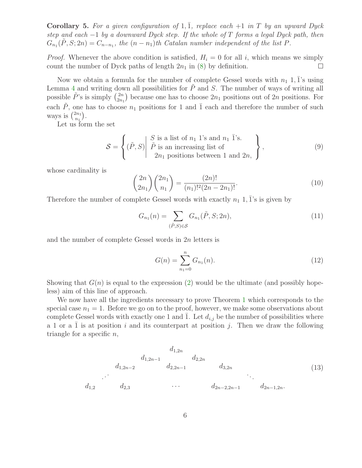<span id="page-5-0"></span>**Corollary 5.** For a given configuration of 1,  $\overline{1}$ , replace each  $+1$  in T by an upward Dyck step and each  $-1$  by a downward Dyck step. If the whole of T forms a legal Dyck path, then  $G_{n_1}(\tilde{P},S;2n) = C_{n-n_1}$ , the  $(n-n_1)$ th Catalan number independent of the list P.

*Proof.* Whenever the above condition is satisfied,  $H<sub>i</sub> = 0$  for all i, which means we simply count the number of Dyck paths of length  $2n_1$  in [\(8\)](#page-4-2) by definition.  $\Box$ 

Now we obtain a formula for the number of complete Gessel words with  $n_1$  1,  $\overline{1}$ 's using Lemma [4](#page-4-3) and writing down all possibilities for  $\tilde{P}$  and S. The number of ways of writing all possible  $\tilde{P}$ 's is simply  $\binom{2n}{2n}$  $\binom{2n}{2n_1}$  because one has to choose  $2n_1$  positions out of  $2n$  positions. For each  $\tilde{P}$ , one has to choose  $n_1$  positions for 1 and  $\overline{1}$  each and therefore the number of such ways is  $\binom{2n_1}{n_1}$  $\binom{2n_1}{n_1}.$ 

Let us form the set

$$
S = \left\{ (\tilde{P}, S) \middle| \begin{array}{l} S \text{ is a list of } n_1 \text{ 1's and } n_1 \text{ 1's.} \\ \tilde{P} \text{ is an increasing list of} \\ 2n_1 \text{ positions between 1 and } 2n, \end{array} \right\},\tag{9}
$$

whose cardinality is

$$
\binom{2n}{2n_1}\binom{2n_1}{n_1} = \frac{(2n)!}{(n_1)!^2(2n - 2n_1)!}.
$$
\n(10)

Therefore the number of complete Gessel words with exactly  $n_1$  1, 1's is given by

$$
G_{n_1}(n) = \sum_{(\tilde{P}, S) \in \mathcal{S}} G_{n_1}(\tilde{P}, S; 2n),
$$
\n(11)

and the number of complete Gessel words in 2n letters is

$$
G(n) = \sum_{n_1=0}^{n} G_{n_1}(n). \tag{12}
$$

Showing that  $G(n)$  is equal to the expression [\(2\)](#page-2-0) would be the ultimate (and possibly hopeless) aim of this line of approach.

We now have all the ingredients necessary to prove Theorem [1](#page-3-1) which corresponds to the special case  $n_1 = 1$ . Before we go on to the proof, however, we make some observations about complete Gessel words with exactly one 1 and 1. Let  $d_{i,j}$  be the number of possibilities where a 1 or a  $\overline{1}$  is at position i and its counterpart at position j. Then we draw the following triangle for a specific  $n$ ,

$$
d_{1,2n}
$$
\n
$$
d_{1,2n-1}
$$
\n
$$
d_{2,2n}
$$
\n
$$
d_{2,2n-1}
$$
\n
$$
d_{3,2n}
$$
\n
$$
d_{3,2n}
$$
\n
$$
d_{2n-2,2n-1}
$$
\n
$$
(13)
$$
\n
$$
d_{2n-1,2n}
$$
\n
$$
(14)
$$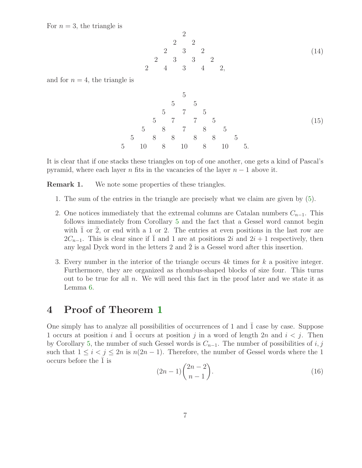For  $n = 3$ , the triangle is

2 2 2 2 3 2 2 3 3 2 2 4 3 4 2, (14)

and for  $n = 4$ , the triangle is

5 5 5 5 7 5 5 7 7 5 5 8 7 8 5 5 8 8 8 8 5 5 10 8 10 8 10 5. (15)

It is clear that if one stacks these triangles on top of one another, one gets a kind of Pascal's pyramid, where each layer n fits in the vacancies of the layer  $n - 1$  above it.

**Remark 1.** We note some properties of these triangles.

- 1. The sum of the entries in the triangle are precisely what we claim are given by [\(5\)](#page-3-2).
- 2. One notices immediately that the extremal columns are Catalan numbers  $C_{n-1}$ . This follows immediately from Corollary [5](#page-5-0) and the fact that a Gessel word cannot begin with  $\overline{1}$  or  $\overline{2}$ , or end with a 1 or 2. The entries at even positions in the last row are  $2C_{n-1}$ . This is clear since if  $\overline{1}$  and 1 are at positions 2i and  $2i + 1$  respectively, then any legal Dyck word in the letters 2 and  $\overline{2}$  is a Gessel word after this insertion.
- 3. Every number in the interior of the triangle occurs  $4k$  times for k a positive integer. Furthermore, they are organized as rhombus-shaped blocks of size four. This turns out to be true for all  $n$ . We will need this fact in the proof later and we state it as Lemma [6.](#page-7-0)

## <span id="page-6-0"></span>4 Proof of Theorem [1](#page-3-1)

<span id="page-6-1"></span>One simply has to analyze all possibilities of occurrences of 1 and  $\overline{1}$  case by case. Suppose 1 occurs at position i and 1 occurs at position j in a word of length 2n and  $i < j$ . Then by Corollary [5,](#page-5-0) the number of such Gessel words is  $C_{n-1}$ . The number of possibilities of i, j such that  $1 \leq i < j \leq 2n$  is  $n(2n-1)$ . Therefore, the number of Gessel words where the 1 occurs before the  $\overline{1}$  is

$$
(2n-1)\binom{2n-2}{n-1}.\t(16)
$$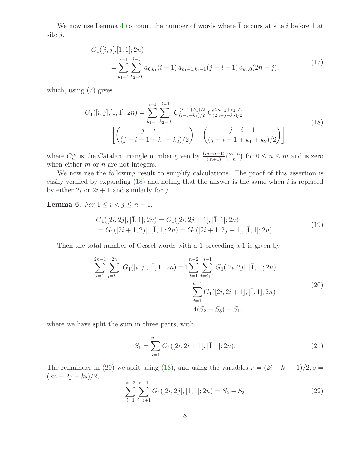We now use Lemma [4](#page-4-3) to count the number of words where  $\overline{1}$  occurs at site i before 1 at site  $j$ ,

$$
G_1([i,j],[\bar{1},1];2n)
$$
  
= 
$$
\sum_{k_1=1}^{i-1} \sum_{k_2=0}^{j-1} a_{0,k_1}(i-1) a_{k_1-1,k_2-1}(j-i-1) a_{k_2,0}(2n-j),
$$
 (17)

which, using [\(7\)](#page-4-4) gives

<span id="page-7-1"></span>
$$
G_1([i,j],[\bar{1},1];2n) = \sum_{k_1=1}^{i-1} \sum_{k_2=0}^{j-1} C_{(i-1-k_1)/2}^{(i-1+k_1)/2} C_{(2n-j-k_2)/2}^{(2n-j+k_2)/2}
$$

$$
\left[ \binom{j-i-1}{(j-i-1+k_1-k_2)/2} - \binom{j-i-1}{(j-i-1+k_1+k_2)/2} \right]
$$
(18)

where  $C_n^m$  is the Catalan triangle number given by  $\frac{(m-n+1)}{(m+1)} \binom{m+n}{n}$  for  $0 \le n \le m$  and is zero when either  $m$  or  $n$  are not integers.

We now use the following result to simplify calculations. The proof of this assertion is easily verified by expanding  $(18)$  and noting that the answer is the same when i is replaced by either  $2i$  or  $2i + 1$  and similarly for j.

<span id="page-7-0"></span>Lemma 6. For  $1 \leq i < j \leq n-1$ ,

<span id="page-7-2"></span>
$$
G_1([2i, 2j], [\bar{1}, 1]; 2n) = G_1([2i, 2j + 1], [\bar{1}, 1]; 2n)
$$
  
= 
$$
G_1([2i + 1, 2j], [\bar{1}, 1]; 2n) = G_1([2i + 1, 2j + 1], [\bar{1}, 1]; 2n).
$$
 (19)

Then the total number of Gessel words with a  $\overline{1}$  preceding a 1 is given by

$$
\sum_{i=1}^{2n-1} \sum_{j=i+1}^{2n} G_1([i,j],[\overline{1},1];2n) = 4 \sum_{i=1}^{n-2} \sum_{j=i+1}^{n-1} G_1([2i,2j],[\overline{1},1];2n) + \sum_{i=1}^{n-1} G_1([2i,2i+1],[\overline{1},1];2n) = 4(S_2 - S_3) + S_1.
$$
\n(20)

where we have split the sum in three parts, with

$$
S_1 = \sum_{i=1}^{n-1} G_1([2i, 2i+1], [\bar{1}, 1]; 2n).
$$
 (21)

The remainder in [\(20\)](#page-7-2) we split using [\(18\)](#page-7-1), and using the variables  $r = (2i - k_1 - 1)/2$ , s =  $(2n-2j-k_2)/2,$ 

$$
\sum_{i=1}^{n-2} \sum_{j=i+1}^{n-1} G_1([2i, 2j], [\bar{1}, 1]; 2n) = S_2 - S_3 \tag{22}
$$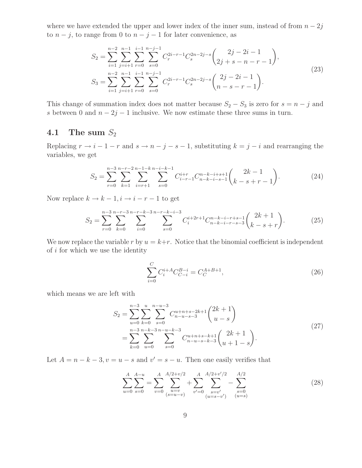where we have extended the upper and lower index of the inner sum, instead of from  $n - 2j$ to  $n - j$ , to range from 0 to  $n - j - 1$  for later convenience, as

$$
S_2 = \sum_{i=1}^{n-2} \sum_{j=i+1}^{n-1} \sum_{r=0}^{i-1} \sum_{s=0}^{n-j-1} C_r^{2i-r-1} C_s^{2n-2j-s} \binom{2j-2i-1}{2j+s-n-r-1},
$$
  
\n
$$
S_3 = \sum_{i=1}^{n-2} \sum_{j=i+1}^{n-1} \sum_{r=0}^{i-1} \sum_{s=0}^{n-j-1} C_r^{2i-r-1} C_s^{2n-2j-s} \binom{2j-2i-1}{n-s-r-1}.
$$
\n(23)

This change of summation index does not matter because  $S_2 - S_3$  is zero for  $s = n - j$  and s between 0 and  $n - 2j - 1$  inclusive. We now estimate these three sums in turn.

#### 4.1 The sum  $S_2$

Replacing  $r \to i - 1 - r$  and  $s \to n - j - s - 1$ , substituting  $k = j - i$  and rearranging the variables, we get

$$
S_2 = \sum_{r=0}^{n-3} \sum_{k=1}^{n-r-2} \sum_{i=r+1}^{n-1-k} \sum_{s=0}^{n-i-k-1} C_{i-r-1}^{i+r} C_{n-k-i-s-1}^{n-k-i+s+1} {2k-1 \choose k-s+r-1}.
$$
 (24)

Now replace  $k \to k - 1, i \to i - r - 1$  to get

<span id="page-8-0"></span>
$$
S_2 = \sum_{r=0}^{n-3} \sum_{k=0}^{n-r-3} \sum_{i=0}^{n-r-k-3} \sum_{s=0}^{n-r-k-i-3} C_i^{i+2r+1} C_{n-k-i-r+s-1}^{n-k-i-r+s-1} {2k+1 \choose k-s+r}.
$$
 (25)

We now replace the variable r by  $u = k+r$ . Notice that the binomial coefficient is independent of  $i$  for which we use the identity

$$
\sum_{i=0}^{C} C_i^{i+A} C_{C-i}^{B-i} = C_C^{A+B+1},\tag{26}
$$

which means we are left with

$$
S_2 = \sum_{u=0}^{n-3} \sum_{k=0}^{u} \sum_{s=0}^{n-u-3} C_{n-u-s-3}^{u+n+s-2k+1} {2k+1 \choose u-s}
$$
  
= 
$$
\sum_{k=0}^{n-3} \sum_{u=0}^{n-k-3} \sum_{s=0}^{n-u-k-3} C_{n-u-s-k-3}^{u+n+s-k+1} {2k+1 \choose u+1-s}.
$$
 (27)

Let  $A = n - k - 3$ ,  $v = u - s$  and  $v' = s - u$ . Then one easily verifies that

$$
\sum_{u=0}^{A} \sum_{s=0}^{A-u} = \sum_{v=0}^{A} \sum_{\substack{u=v\\(s=u-v)}}^{A/2+v/2} + \sum_{v'=0}^{A} \sum_{\substack{s=v'\\(u=s-v')}}^{A/2+v'/2} - \sum_{\substack{s=0\\(u=s)}}^{A/2} \tag{28}
$$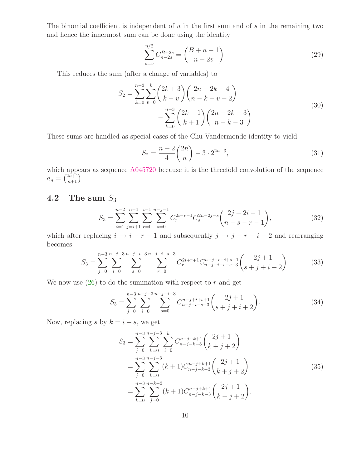The binomial coefficient is independent of  $u$  in the first sum and of  $s$  in the remaining two and hence the innermost sum can be done using the identity

$$
\sum_{s=v}^{n/2} C_{n-2s}^{B+2s} = \binom{B+n-1}{n-2v}.
$$
\n(29)

This reduces the sum (after a change of variables) to

$$
S_2 = \sum_{k=0}^{n-3} \sum_{v=0}^{k} {2k+3 \choose k-v} {2n-2k-4 \choose n-k-v-2} - \sum_{k=0}^{n-3} {2k+1 \choose k+1} {2n-2k-3 \choose n-k-3}
$$
 (30)

These sums are handled as special cases of the Chu-Vandermonde identity to yield

<span id="page-9-0"></span>
$$
S_2 = \frac{n+2}{4} \binom{2n}{n} - 3 \cdot 2^{2n-3},\tag{31}
$$

which appears as sequence  $\underline{A045720}$  $\underline{A045720}$  $\underline{A045720}$  because it is the threefold convolution of the sequence  $a_n = \binom{2n+1}{n+1}.$ 

### 4.2 The sum  $S_3$

$$
S_3 = \sum_{i=1}^{n-2} \sum_{j=i+1}^{n-1} \sum_{r=0}^{i-1} \sum_{s=0}^{n-j-1} C_r^{2i-r-1} C_s^{2n-2j-s} \binom{2j-2i-1}{n-s-r-1},
$$
(32)

which after replacing  $i \rightarrow i - r - 1$  and subsequently  $j \rightarrow j - r - i - 2$  and rearranging becomes

$$
S_3 = \sum_{j=0}^{n-3} \sum_{i=0}^{n-j-3} \sum_{s=0}^{n-j-i-3} \sum_{r=0}^{n-j-i-s-3} C_r^{2i+r+1} C_{n-j-i-r-s-3}^{n-j-r-i+s-1} {2j+1 \choose s+j+i+2}.
$$
 (33)

We now use  $(26)$  to do the summation with respect to r and get

$$
S_3 = \sum_{j=0}^{n-3} \sum_{i=0}^{n-j-3} \sum_{s=0}^{n-j-i-3} C_{n-j-i-s-3}^{n-j+i+s+1} {2j+1 \choose s+j+i+2}.
$$
 (34)

Now, replacing s by  $k = i + s$ , we get

$$
S_3 = \sum_{j=0}^{n-3} \sum_{k=0}^{n-j-3} \sum_{i=0}^k C_{n-j-k-3}^{n-j+k+1} {2j+1 \choose k+j+2}
$$
  
= 
$$
\sum_{j=0}^{n-3} \sum_{k=0}^{n-j-3} (k+1) C_{n-j-k-3}^{n-j+k+1} {2j+1 \choose k+j+2}
$$
  
= 
$$
\sum_{k=0}^{n-3} \sum_{j=0}^{n-k-3} (k+1) C_{n-j-k-3}^{n-j+k+1} {2j+1 \choose k+j+2}.
$$
 (35)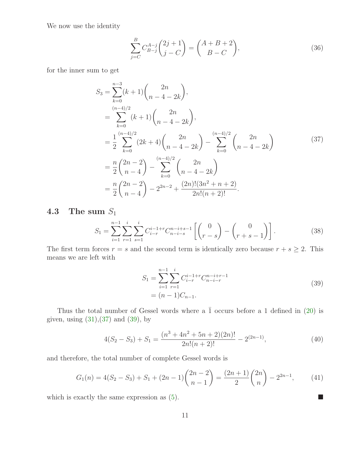We now use the identity

$$
\sum_{j=C}^{B} C_{B-j}^{A-j} {2j+1 \choose j-C} = {A+B+2 \choose B-C},
$$
\n(36)

for the inner sum to get

<span id="page-10-0"></span>
$$
S_3 = \sum_{k=0}^{n-3} (k+1) {2n \choose n-4-2k},
$$
  
\n
$$
= \sum_{k=0}^{(n-4)/2} (k+1) {2n \choose n-4-2k},
$$
  
\n
$$
= \frac{1}{2} \sum_{k=0}^{(n-4)/2} (2k+4) {2n \choose n-4-2k} - \sum_{k=0}^{(n-4)/2} {2n \choose n-4-2k}
$$
  
\n
$$
= \frac{n}{2} {2n-2 \choose n-4} - \sum_{k=0}^{(n-4)/2} {2n \choose n-4-2k}
$$
  
\n
$$
= \frac{n}{2} {2n-2 \choose n-4} - 2^{2n-2} + \frac{(2n)!(3n^2+n+2)}{2n!(n+2)!}.
$$
 (37)

## **4.3** The sum  $S_1$

$$
S_1 = \sum_{i=1}^{n-1} \sum_{r=1}^i \sum_{s=1}^i C_{i-r}^{i-1+r} C_{n-i-s}^{n-i+s-1} \left[ \begin{pmatrix} 0 \\ r-s \end{pmatrix} - \begin{pmatrix} 0 \\ r+s-1 \end{pmatrix} \right].
$$
 (38)

<span id="page-10-1"></span>The first term forces  $r = s$  and the second term is identically zero because  $r + s \geq 2$ . This means we are left with

$$
S_1 = \sum_{i=1}^{n-1} \sum_{r=1}^i C_{i-r}^{i-1+r} C_{n-i-r}^{n-i+r-1}
$$
  
=  $(n-1)C_{n-1}$ . (39)

Thus the total number of Gessel words where a  $\overline{1}$  occurs before a 1 defined in [\(20\)](#page-7-2) is given, using [\(31\)](#page-9-0),[\(37\)](#page-10-0) and [\(39\)](#page-10-1), by

<span id="page-10-2"></span>
$$
4(S_2 - S_3) + S_1 = \frac{(n^3 + 4n^2 + 5n + 2)(2n)!}{2n!(n+2)!} - 2^{(2n-1)},
$$
\n(40)

and therefore, the total number of complete Gessel words is

$$
G_1(n) = 4(S_2 - S_3) + S_1 + (2n - 1) \binom{2n - 2}{n - 1} = \frac{(2n + 1)}{2} \binom{2n}{n} - 2^{2n - 1},\tag{41}
$$

which is exactly the same expression as  $(5)$ .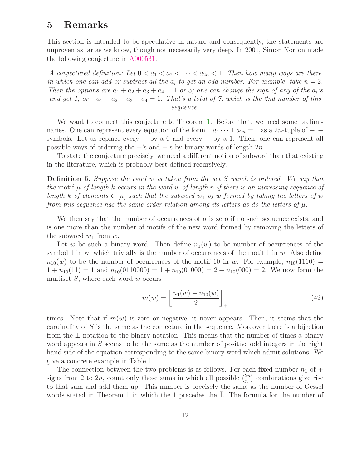## <span id="page-11-0"></span>5 Remarks

This section is intended to be speculative in nature and consequently, the statements are unproven as far as we know, though not necessarily very deep. In 2001, Simon Norton made the following conjecture in [A000531.](http://www.research.att.com/cgi-bin/access.cgi/as/~njas/sequences/eisA.cgi?Anum=A000531)

A conjectured definition: Let  $0 < a_1 < a_2 < \cdots < a_{2n} < 1$ . Then how many ways are there in which one can add or subtract all the  $a_i$  to get an odd number. For example, take  $n = 2$ . Then the options are  $a_1 + a_2 + a_3 + a_4 = 1$  or 3; one can change the sign of any of the  $a_i$ 's and get 1; or  $-a_1 - a_2 + a_3 + a_4 = 1$ . That's a total of 7, which is the 2nd number of this sequence.

We want to connect this conjecture to Theorem [1.](#page-3-1) Before that, we need some preliminaries. One can represent every equation of the form  $\pm a_1 \cdots \pm a_{2n} = 1$  as a 2n-tuple of  $+,$ symbols. Let us replace every  $-$  by a 0 and every  $+$  by a 1. Then, one can represent all possible ways of ordering the +'s and  $-$ 's by binary words of length  $2n$ .

To state the conjecture precisely, we need a different notion of subword than that existing in the literature, which is probably best defined recursively.

Definition 5. Suppose the word w is taken from the set S which is ordered. We say that the motif  $\mu$  of length k occurs in the word w of length n if there is an increasing sequence of length k of elements  $\in [n]$  such that the subword  $w_1$  of w formed by taking the letters of w from this sequence has the same order relation among its letters as do the letters of  $\mu$ .

We then say that the number of occurrences of  $\mu$  is zero if no such sequence exists, and is one more than the number of motifs of the new word formed by removing the letters of the subword  $w_1$  from  $w$ .

Let w be such a binary word. Then define  $n_1(w)$  to be number of occurrences of the symbol 1 in w, which trivially is the number of occurrences of the motif 1 in  $w$ . Also define  $n_{10}(w)$  to be the number of occurrences of the motif 10 in w. For example,  $n_{10}(1110)$  =  $1 + n_{10}(11) = 1$  and  $n_{10}(0110000) = 1 + n_{10}(01000) = 2 + n_{10}(000) = 2$ . We now form the multiset  $S$ , where each word  $w$  occurs

$$
m(w) = \left\lfloor \frac{n_1(w) - n_{10}(w)}{2} \right\rfloor_+ \tag{42}
$$

times. Note that if  $m(w)$  is zero or negative, it never appears. Then, it seems that the cardinality of S is the same as the conjecture in the sequence. Moreover there is a bijection from the  $\pm$  notation to the binary notation. This means that the number of times a binary word appears in S seems to be the same as the number of positive odd integers in the right hand side of the equation corresponding to the same binary word which admit solutions. We give a concrete example in Table [1.](#page-12-0)

The connection between the two problems is as follows. For each fixed number  $n_1$  of  $+$ signs from 2 to 2n, count only those sums in which all possible  $\binom{2n}{n}$  $\binom{2n}{n_1}$  combinations give rise to that sum and add them up. This number is precisely the same as the number of Gessel words stated in Theorem [1](#page-3-1) in which the 1 precedes the  $1$ . The formula for the number of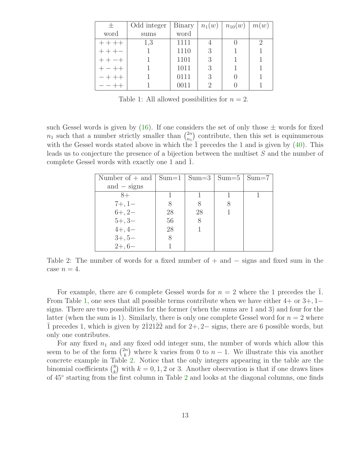| 土         | Odd integer | Binary | $n_1(w)$ | $n_{10}(w)$ | m(w) |
|-----------|-------------|--------|----------|-------------|------|
| word      | sums        | word   |          |             |      |
| $+ + + +$ | 1,3         | 1111   |          |             | 2    |
|           |             | 1110   | 3        |             |      |
|           |             | 1101   | 3        |             |      |
|           |             | 1011   | 3        |             |      |
|           |             | 0111   | 3        |             |      |
|           |             | 0011   |          |             |      |

<span id="page-12-0"></span>Table 1: All allowed possibilities for  $n = 2$ .

such Gessel words is given by  $(16)$ . If one considers the set of only those  $\pm$  words for fixed  $n_1$  such that a number strictly smaller than  $\binom{2n}{n_1}$  $\binom{2n}{n_1}$  contribute, then this set is equinumerous with the Gessel words stated above in which the  $\overline{1}$  precedes the 1 and is given by [\(40\)](#page-10-2). This leads us to conjecture the presence of a bijection between the multiset S and the number of complete Gessel words with exactly one 1 and 1.

| Number of $+$ and $ $ Sum=1 $ $ Sum=3 $ $ Sum=5 $ $ Sum=7 |    |    |  |
|-----------------------------------------------------------|----|----|--|
| and $-$ signs                                             |    |    |  |
| $8+$                                                      |    |    |  |
| $7+, 1-$                                                  | 8  | 8  |  |
| $6+, 2-$                                                  | 28 | 28 |  |
| $5+, 3-$                                                  | 56 | 8  |  |
| $4+, 4-$                                                  | 28 |    |  |
| $3+, 5-$                                                  | 8  |    |  |
| $2+, 6-$                                                  |    |    |  |

<span id="page-12-1"></span>Table 2: The number of words for a fixed number of  $+$  and  $-$  signs and fixed sum in the case  $n = 4$ .

For example, there are 6 complete Gessel words for  $n = 2$  where the 1 precedes the 1. From Table [1,](#page-12-0) one sees that all possible terms contribute when we have either  $4+$  or  $3+,1$ signs. There are two possibilities for the former (when the sums are 1 and 3) and four for the latter (when the sum is 1). Similarly, there is only one complete Gessel word for  $n = 2$  where  $\overline{1}$  precedes 1, which is given by  $2\overline{1}21\overline{2}2$  and for  $2+, 2-$  signs, there are 6 possible words, but only one contributes.

For any fixed  $n_1$  and any fixed odd integer sum, the number of words which allow this seem to be of the form  $\binom{2n}{k}$  $\binom{2n}{k}$  where k varies from 0 to  $n-1$ . We illustrate this via another concrete example in Table [2.](#page-12-1) Notice that the only integers appearing in the table are the binomial coefficients  $\binom{8}{k}$  $\binom{8}{k}$  with  $k = 0, 1, 2$  or 3. Another observation is that if one draws lines of 45<sup>°</sup> starting from the first column in Table [2](#page-12-1) and looks at the diagonal columns, one finds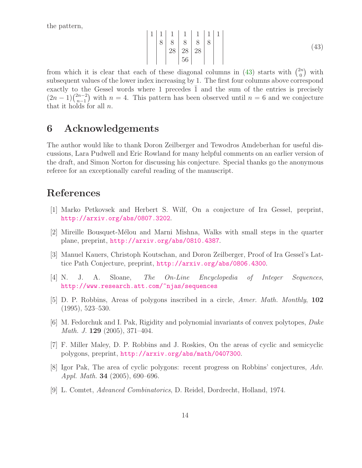<span id="page-13-9"></span>the pattern,

1 1 1 1 1 1 1 8 8 8 8 8 28 28 28 56 (43)

from which it is clear that each of these diagonal columns in [\(43\)](#page-13-9) starts with  $\binom{2n}{0}$  $\binom{2n}{0}$  with subsequent values of the lower index increasing by 1. The first four columns above correspond exactly to the Gessel words where 1 precedes  $\overline{1}$  and the sum of the entries is precisely  $(2n-1)\binom{2n-2}{n-1}$  $n-2n-2 \choose n-1$  with  $n = 4$ . This pattern has been observed until  $n = 6$  and we conjecture that it holds for all  $n$ .

## 6 Acknowledgements

The author would like to thank Doron Zeilberger and Tewodros Amdeberhan for useful discussions, Lara Pudwell and Eric Rowland for many helpful comments on an earlier version of the draft, and Simon Norton for discussing his conjecture. Special thanks go the anonymous referee for an exceptionally careful reading of the manuscript.

## <span id="page-13-0"></span>References

- <span id="page-13-1"></span>[1] Marko Petkovsek and Herbert S. Wilf, On a conjecture of Ira Gessel, preprint, <http://arxiv.org/abs/0807.3202>.
- <span id="page-13-2"></span>[2] Mireille Bousquet-M´elou and Marni Mishna, Walks with small steps in the quarter plane, preprint, <http://arxiv.org/abs/0810.4387>.
- <span id="page-13-3"></span>[3] Manuel Kauers, Christoph Koutschan, and Doron Zeilberger, Proof of Ira Gessel's Lattice Path Conjecture, preprint, <http://arxiv.org/abs/0806.4300>.
- <span id="page-13-4"></span>[4] N. J. A. Sloane, The On-Line Encyclopedia of Integer Sequences, <http://www.research.att.com/~njas/sequences>
- [5] D. P. Robbins, Areas of polygons inscribed in a circle, Amer. Math. Monthly, 102 (1995), 523–530.
- <span id="page-13-5"></span>[6] M. Fedorchuk and I. Pak, Rigidity and polynomial invariants of convex polytopes, Duke Math. J. 129 (2005), 371–404.
- <span id="page-13-7"></span><span id="page-13-6"></span>[7] F. Miller Maley, D. P. Robbins and J. Roskies, On the areas of cyclic and semicyclic polygons, preprint, <http://arxiv.org/abs/math/0407300>.
- [8] Igor Pak, The area of cyclic polygons: recent progress on Robbins' conjectures, Adv. Appl. Math. 34 (2005), 690–696.
- <span id="page-13-8"></span>[9] L. Comtet, Advanced Combinatorics, D. Reidel, Dordrecht, Holland, 1974.